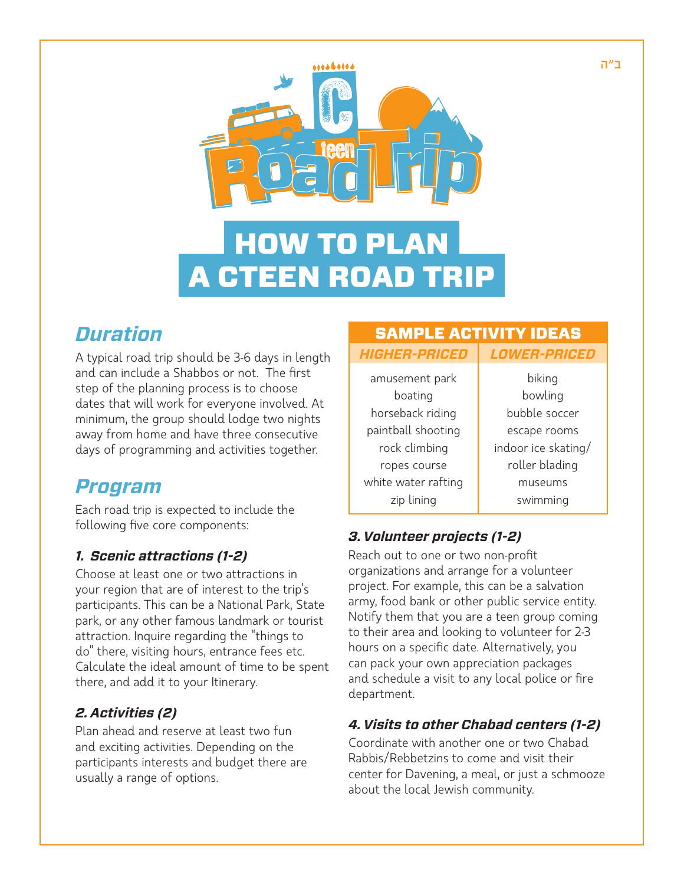

# HOW TO PLAN A CTEEN ROAD TRIP

### *Duration*

A typical road trip should be 3-6 days in length and can include a Shabbos or not. The first step of the planning process is to choose dates that will work for everyone involved. At minimum, the group should lodge two nights away from home and have three consecutive days of programming and activities together.

### *Program*

Each road trip is expected to include the following five core components:

#### *1. Scenic attractions (1-2)*

Choose at least one or two attractions in your region that are of interest to the trip's participants. This can be a National Park, State park, or any other famous landmark or tourist attraction. Inquire regarding the "things to do" there, visiting hours, entrance fees etc. Calculate the ideal amount of time to be spent there, and add it to your Itinerary.

#### *2. Activities (2)*

Plan ahead and reserve at least two fun and exciting activities. Depending on the participants interests and budget there are usually a range of options.

### SAMPLE ACTIVITY IDEAS

| <b>LOWER-PRICED</b> |
|---------------------|
| biking              |
| bowling             |
| bubble soccer       |
| escape rooms        |
| indoor ice skating/ |
| roller blading      |
| museums             |
| swimming            |
|                     |

#### *3. Volunteer projects (1-2)*

Reach out to one or two non-profit organizations and arrange for a volunteer project. For example, this can be a salvation army, food bank or other public service entity. Notify them that you are a teen group coming to their area and looking to volunteer for 2-3 hours on a specific date. Alternatively, you can pack your own appreciation packages and schedule a visit to any local police or fire department.

#### *4. Visits to other Chabad centers (1-2)*

Coordinate with another one or two Chabad Rabbis/Rebbetzins to come and visit their center for Davening, a meal, or just a schmooze about the local Jewish community.

ב"ה